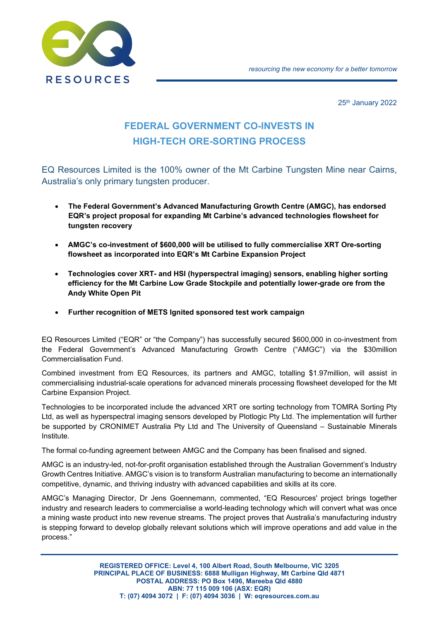



25<sup>th</sup> January 2022

# **FEDERAL GOVERNMENT CO-INVESTS IN HIGH-TECH ORE-SORTING PROCESS**

EQ Resources Limited is the 100% owner of the Mt Carbine Tungsten Mine near Cairns, Australia's only primary tungsten producer.

- **The Federal Government's Advanced Manufacturing Growth Centre (AMGC), has endorsed EQR's project proposal for expanding Mt Carbine's advanced technologies flowsheet for tungsten recovery**
- **AMGC's co-investment of \$600,000 will be utilised to fully commercialise XRT Ore-sorting flowsheet as incorporated into EQR's Mt Carbine Expansion Project**
- **Technologies cover XRT- and HSI (hyperspectral imaging) sensors, enabling higher sorting efficiency for the Mt Carbine Low Grade Stockpile and potentially lower-grade ore from the Andy White Open Pit**
- **Further recognition of METS Ignited sponsored test work campaign**

EQ Resources Limited ("EQR" or "the Company") has successfully secured \$600,000 in co-investment from the Federal Government's Advanced Manufacturing Growth Centre ("AMGC") via the \$30million Commercialisation Fund.

Combined investment from EQ Resources, its partners and AMGC, totalling \$1.97million, will assist in commercialising industrial-scale operations for advanced minerals processing flowsheet developed for the Mt Carbine Expansion Project.

Technologies to be incorporated include the advanced XRT ore sorting technology from TOMRA Sorting Pty Ltd, as well as hyperspectral imaging sensors developed by Plotlogic Pty Ltd. The implementation will further be supported by CRONIMET Australia Pty Ltd and The University of Queensland – Sustainable Minerals Institute.

The formal co-funding agreement between AMGC and the Company has been finalised and signed.

AMGC is an industry-led, not-for-profit organisation established through the Australian Government's Industry Growth Centres Initiative. AMGC's vision is to transform Australian manufacturing to become an internationally competitive, dynamic, and thriving industry with advanced capabilities and skills at its core.

AMGC's Managing Director, Dr Jens Goennemann, commented, "EQ Resources' project brings together industry and research leaders to commercialise a world-leading technology which will convert what was once a mining waste product into new revenue streams. The project proves that Australia's manufacturing industry is stepping forward to develop globally relevant solutions which will improve operations and add value in the process."